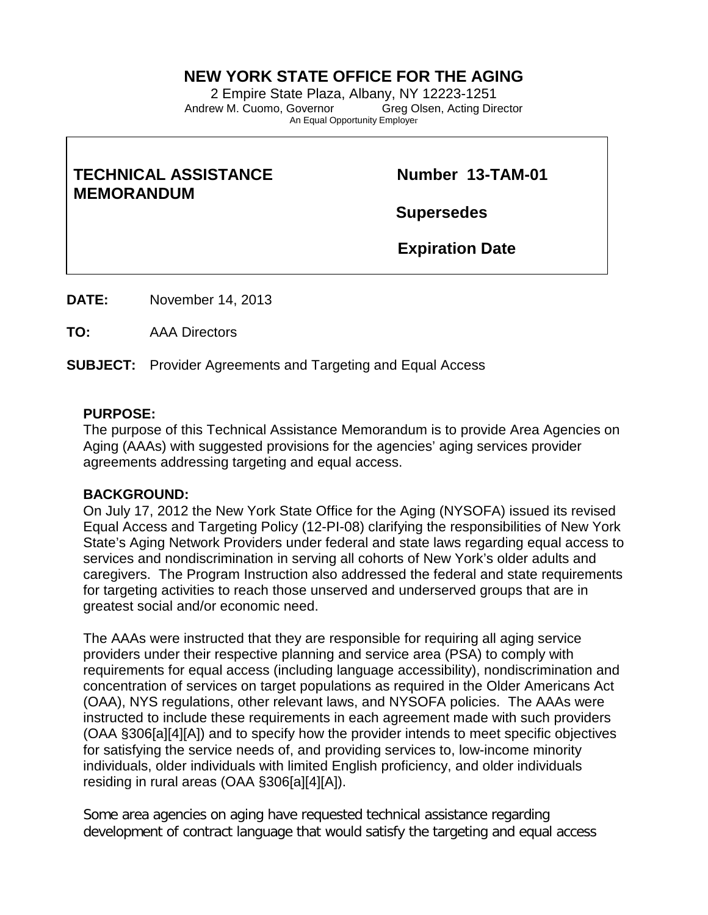## **NEW YORK STATE OFFICE FOR THE AGING**

2 Empire State Plaza, Albany, NY 12223-1251<br>ew M. Cuomo, Governor Greg Olsen, Acting Director Andrew M. Cuomo, Governor An Equal Opportunity Employer

# **TECHNICAL ASSISTANCE Number 13-TAM-01 MEMORANDUM**

**Supersedes** 

 **Expiration Date** 

**DATE:** November 14, 2013

**TO:** AAA Directors

**SUBJECT:** Provider Agreements and Targeting and Equal Access

### **PURPOSE:**

The purpose of this Technical Assistance Memorandum is to provide Area Agencies on Aging (AAAs) with suggested provisions for the agencies' aging services provider agreements addressing targeting and equal access.

### **BACKGROUND:**

On July 17, 2012 the New York State Office for the Aging (NYSOFA) issued its revised Equal Access and Targeting Policy (12-PI-08) clarifying the responsibilities of New York State's Aging Network Providers under federal and state laws regarding equal access to services and nondiscrimination in serving all cohorts of New York's older adults and caregivers. The Program Instruction also addressed the federal and state requirements for targeting activities to reach those unserved and underserved groups that are in greatest social and/or economic need.

The AAAs were instructed that they are responsible for requiring all aging service providers under their respective planning and service area (PSA) to comply with requirements for equal access (including language accessibility), nondiscrimination and concentration of services on target populations as required in the Older Americans Act (OAA), NYS regulations, other relevant laws, and NYSOFA policies. The AAAs were instructed to include these requirements in each agreement made with such providers (OAA §306[a][4][A]) and to specify how the provider intends to meet specific objectives for satisfying the service needs of, and providing services to, low-income minority individuals, older individuals with limited English proficiency, and older individuals residing in rural areas (OAA §306[a][4][A]).

Some area agencies on aging have requested technical assistance regarding development of contract language that would satisfy the targeting and equal access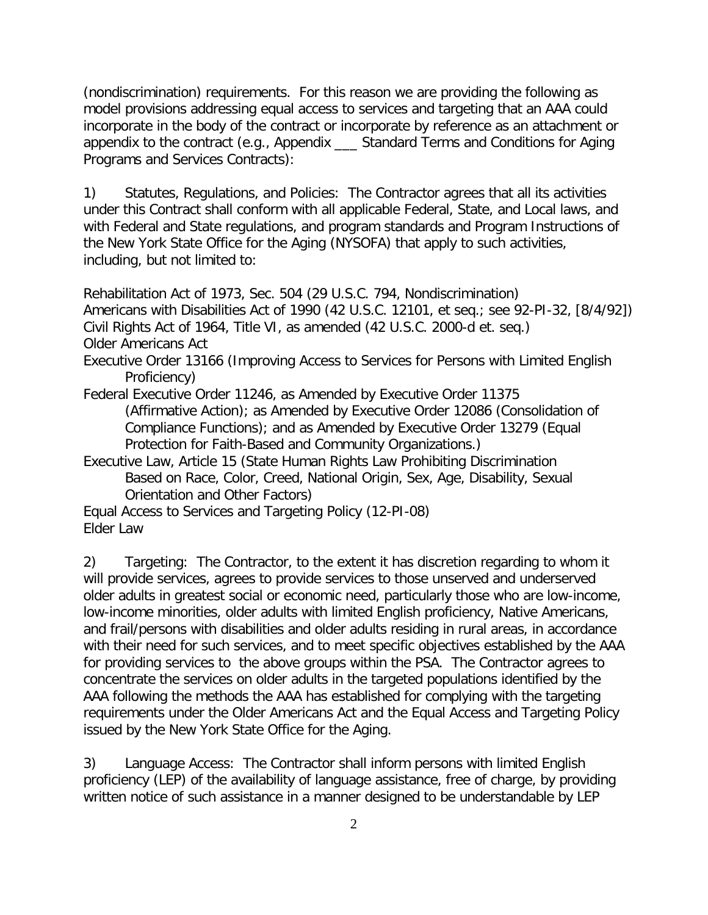(nondiscrimination) requirements. For this reason we are providing the following as model provisions addressing equal access to services and targeting that an AAA could incorporate in the body of the contract or incorporate by reference as an attachment or appendix to the contract (e.g., Appendix \_\_\_ Standard Terms and Conditions for Aging Programs and Services Contracts):

1) Statutes, Regulations, and Policies: The Contractor agrees that all its activities under this Contract shall conform with all applicable Federal, State, and Local laws, and with Federal and State regulations, and program standards and Program Instructions of the New York State Office for the Aging (NYSOFA) that apply to such activities, including, but not limited to:

Rehabilitation Act of 1973, Sec. 504 (29 U.S.C. 794, Nondiscrimination) Americans with Disabilities Act of 1990 (42 U.S.C. 12101, et seq.; see 92-PI-32, [8/4/92]) Civil Rights Act of 1964, Title VI, as amended (42 U.S.C. 2000-d et. seq.) Older Americans Act

Executive Order 13166 (Improving Access to Services for Persons with Limited English Proficiency)

Federal Executive Order 11246, as Amended by Executive Order 11375 (Affirmative Action); as Amended by Executive Order 12086 (Consolidation of Compliance Functions); and as Amended by Executive Order 13279 (Equal Protection for Faith-Based and Community Organizations.)

Executive Law, Article 15 (State Human Rights Law Prohibiting Discrimination Based on Race, Color, Creed, National Origin, Sex, Age, Disability, Sexual Orientation and Other Factors)

Equal Access to Services and Targeting Policy (12-PI-08) Elder Law

2) Targeting: The Contractor, to the extent it has discretion regarding to whom it will provide services, agrees to provide services to those unserved and underserved older adults in greatest social or economic need, particularly those who are low-income, low-income minorities, older adults with limited English proficiency, Native Americans, and frail/persons with disabilities and older adults residing in rural areas, in accordance with their need for such services, and to meet specific objectives established by the AAA for providing services to the above groups within the PSA. The Contractor agrees to concentrate the services on older adults in the targeted populations identified by the AAA following the methods the AAA has established for complying with the targeting requirements under the Older Americans Act and the Equal Access and Targeting Policy issued by the New York State Office for the Aging.

3) Language Access: The Contractor shall inform persons with limited English proficiency (LEP) of the availability of language assistance, free of charge, by providing written notice of such assistance in a manner designed to be understandable by LEP